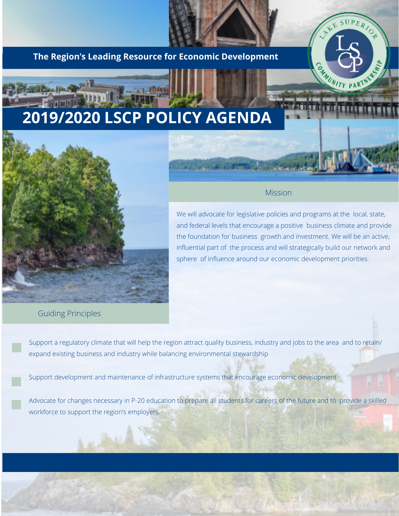### **The Region's Leading Resource for Economic Development**

# **2019/2020 LSCP POLICY AGENDA**



### Mission

UPERIOR

**CAMUNITY PART** 

We will advocate for legislative policies and programs at the local, state, and federal levels that encourage a positive business climate and provide the foundation for business growth and investment. We will be an active, influential part of the process and will strategically build our network and sphere of influence around our economic development priorities.

### Guiding Principles

يشد

Support a regulatory climate that will help the region attract quality business, industry and jobs to the area and to retain/ expand existing business and industry while balancing environmental stewardship

Support development and maintenance of infrastructure systems that encourage economic development

Advocate for changes necessary in P-20 education to prepare all students for careers of the future and to provide a skilled workforce to support the region's employers.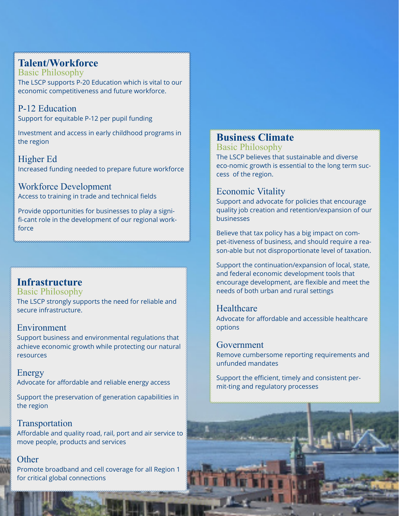## **Talent/Workforce**

Basic Philosophy The LSCP supports P-20 Education which is vital to our economic competitiveness and future workforce.

P-12 Education Support for equitable P-12 per pupil funding

Investment and access in early childhood programs in the region

Higher Ed Increased funding needed to prepare future workforce

Workforce Development Access to training in trade and technical fields

Provide opportunities for businesses to play a signifi-cant role in the development of our regional workforce

# **Infrastructure**

Basic Philosophy The LSCP strongly supports the need for reliable and secure infrastructure.

### Environment

Support business and environmental regulations that achieve economic growth while protecting our natural resources

Energy Advocate for affordable and reliable energy access

Support the preservation of generation capabilities in the region

## Transportation

Affordable and quality road, rail, port and air service to move people, products and services

### **Other**

Promote broadband and cell coverage for all Region 1 for critical global connections

# **Business Climate**

Basic Philosophy

The LSCP believes that sustainable and diverse eco-nomic growth is essential to the long term success of the region.

### Economic Vitality

Support and advocate for policies that encourage quality job creation and retention/expansion of our businesses

Believe that tax policy has a big impact on compet-itiveness of business, and should require a reason-able but not disproportionate level of taxation.

Support the continuation/expansion of local, state, and federal economic development tools that encourage development, are flexible and meet the needs of both urban and rural settings

### Healthcare

Advocate for affordable and accessible healthcare options

### Government

Remove cumbersome reporting requirements and unfunded mandates

Support the efficient, timely and consistent permit-ting and regulatory processes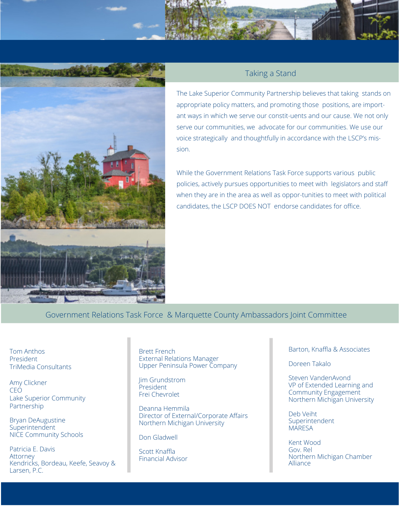



### Taking a Stand

The Lake Superior Community Partnership believes that taking stands on appropriate policy matters, and promoting those positions, are important ways in which we serve our constit-uents and our cause. We not only serve our communities, we advocate for our communities. We use our voice strategically and thoughtfully in accordance with the LSCP's mission.

While the Government Relations Task Force supports various public policies, actively pursues opportunities to meet with legislators and staff when they are in the area as well as oppor-tunities to meet with political candidates, the LSCP DOES NOT endorse candidates for office.

Government Relations Task Force & Marquette County Ambassadors Joint Committee

Tom Anthos President TriMedia Consultants

Amy Clickner CEO Lake Superior Community Partnership

Bryan DeAugustine **Superintendent** NICE Community Schools

Patricia E. Davis Attorney Kendricks, Bordeau, Keefe, Seavoy & Larsen, P.C.

Brett French External Relations Manager Upper Peninsula Power Company

Jim Grundstrom President Frei Chevrolet

Deanna Hemmila Director of External/Corporate Affairs Northern Michigan University

Don Gladwell

Scott Knaffla Financial Advisor Barton, Knaffla & Associates

Doreen Takalo

Steven VandenAvond VP of Extended Learning and Community Engagement Northern Michigan University

Deb Veiht Superintendent **MARESA** 

Kent Wood Gov. Rel Northern Michigan Chamber Alliance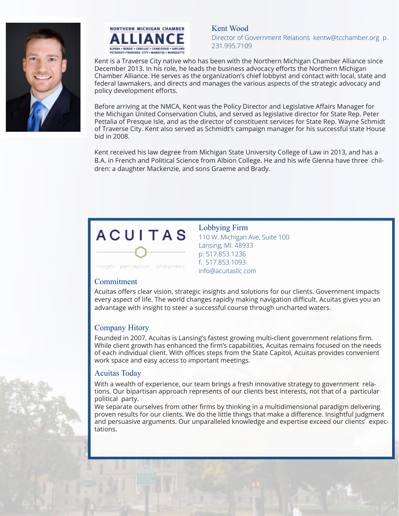



Kent Wood Director of Government Relations kentw@tcchamber.org p. 231.995.7109

Kent is a Traverse City native who has been with the Northern Michigan Chamber Alliance since December 2013. In his role, he leads the business advocacy efforts the Northern Michigan Chamber Alliance. He serves as the organization's chief lobbyist and contact with local, state and federal lawmakers, and directs and manages the various aspects of the strategic advocacy and policy development efforts.

Before arriving at the NMCA, Kent was the Policy Director and Legislative Affairs Manager for the Michigan United Conservation Clubs, and served as legislative director for State Rep. Peter Pettalia of Presque Isle, and as the director of constituent services for State Rep. Wayne Schmidt of Traverse City. Kent also served as Schmidt's campaign manager for his successful state House bid in 2008.

Kent received his law degree from Michigan State University College of Law in 2013, and has a B.A. in French and Political Science from Albion College. He and his wife Glenna have three children: a daughter Mackenzie, and sons Graeme and Brady.

# **ACUITAS**

Lobbying Firm 110 W. Michigan Ave, Suite 100 Lansing, MI. 48933 p. 517.853.1236 f. 517.853.1093 info@acuitasllc.com

insight - perception - sharpness

#### Commitment

Acuitas offers clear vision, strategic insights and solutions for our clients. Government impacts every aspect of life. The world changes rapidly making navigation difficult. Acuitas gives you an advantage with insight to steer a successful course through uncharted waters.

### Company Hitory

Founded in 2007, Acuitas is Lansing's fastest growing multi-client government relations firm. While client growth has enhanced the firm's capabilities, Acuitas remains focused on the needs of each individual client. With offices steps from the State Capitol, Acuitas provides convenient work space and easy access to important meetings.

### Acuitas Today

With a wealth of experience, our team brings a fresh innovative strategy to government relations. Our bipartisan approach represents of our clients best interests, not that of a particular political party.

We separate ourselves from other firms by thinking in a multidimensional paradigm delivering proven results for our clients. We do the little things that make a difference. Insightful judgment and persuasive arguments. Our unparalleled knowledge and expertise exceed our clients' expectations.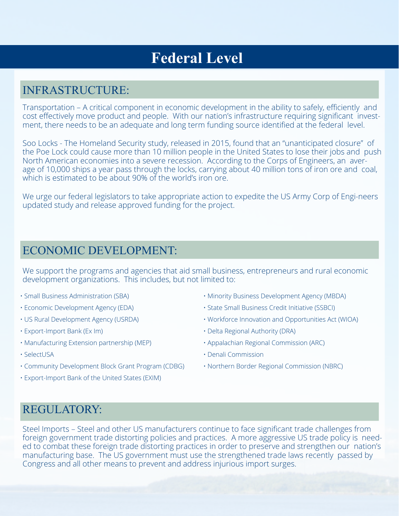# **Federal Level**

# INFRASTRUCTURE:

Transportation – A critical component in economic development in the ability to safely, efficiently and cost effectively move product and people. With our nation's infrastructure requiring significant investment, there needs to be an adequate and long term funding source identified at the federal level.

Soo Locks - The Homeland Security study, released in 2015, found that an "unanticipated closure" of the Poe Lock could cause more than 10 million people in the United States to lose their jobs and push North American economies into a severe recession. According to the Corps of Engineers, an average of 10,000 ships a year pass through the locks, carrying about 40 million tons of iron ore and coal, which is estimated to be about 90% of the world's iron ore.

We urge our federal legislators to take appropriate action to expedite the US Army Corp of Engi-neers updated study and release approved funding for the project.

## ECONOMIC DEVELOPMENT:

We support the programs and agencies that aid small business, entrepreneurs and rural economic development organizations. This includes, but not limited to:

- Small Business Administration (SBA)
- Economic Development Agency (EDA)
- US Rural Development Agency (USRDA)
- Export-Import Bank (Ex Im)
- Manufacturing Extension partnership (MEP)
- SelectUSA
- Community Development Block Grant Program (CDBG)
- Export-Import Bank of the United States (EXIM)
- Minority Business Development Agency (MBDA)
- State Small Business Credit Initiative (SSBCI)
- Workforce Innovation and Opportunities Act (WIOA)
- Delta Regional Authority (DRA)
- Appalachian Regional Commission (ARC)
- Denali Commission
- Northern Border Regional Commission (NBRC)

## REGULATORY:

Steel Imports – Steel and other US manufacturers continue to face significant trade challenges from foreign government trade distorting policies and practices. A more aggressive US trade policy is needed to combat these foreign trade distorting practices in order to preserve and strengthen our nation's manufacturing base. The US government must use the strengthened trade laws recently passed by Congress and all other means to prevent and address injurious import surges.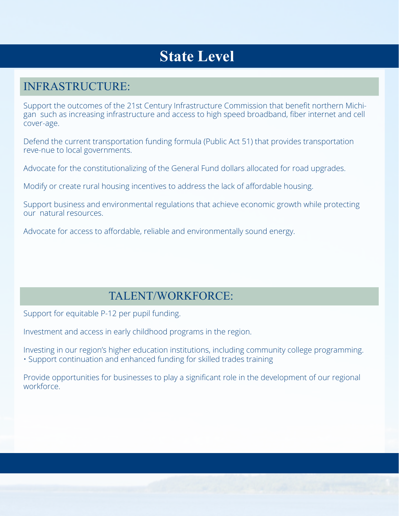# **State Level**

# INFRASTRUCTURE:

Support the outcomes of the 21st Century Infrastructure Commission that benefit northern Michigan such as increasing infrastructure and access to high speed broadband, fiber internet and cell cover-age.

Defend the current transportation funding formula (Public Act 51) that provides transportation reve-nue to local governments.

Advocate for the constitutionalizing of the General Fund dollars allocated for road upgrades.

Modify or create rural housing incentives to address the lack of affordable housing.

Support business and environmental regulations that achieve economic growth while protecting our natural resources.

Advocate for access to affordable, reliable and environmentally sound energy.

# TALENT/WORKFORCE:

Support for equitable P-12 per pupil funding.

Investment and access in early childhood programs in the region.

Investing in our region's higher education institutions, including community college programming. • Support continuation and enhanced funding for skilled trades training

Provide opportunities for businesses to play a significant role in the development of our regional workforce.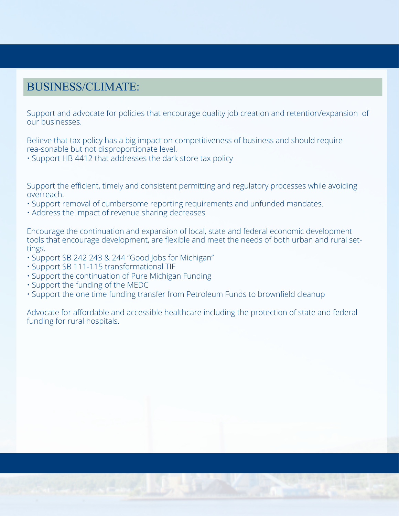# BUSINESS/CLIMATE:

Support and advocate for policies that encourage quality job creation and retention/expansion of our businesses.

Believe that tax policy has a big impact on competitiveness of business and should require rea-sonable but not disproportionate level.

• Support HB 4412 that addresses the dark store tax policy

Support the efficient, timely and consistent permitting and regulatory processes while avoiding overreach.

- Support removal of cumbersome reporting requirements and unfunded mandates.
- Address the impact of revenue sharing decreases

Encourage the continuation and expansion of local, state and federal economic development tools that encourage development, are flexible and meet the needs of both urban and rural settings.

- Support SB 242 243 & 244 "Good Jobs for Michigan"
- Support SB 111-115 transformational TIF
- Support the continuation of Pure Michigan Funding
- Support the funding of the MEDC
- Support the one time funding transfer from Petroleum Funds to brownfield cleanup

Advocate for affordable and accessible healthcare including the protection of state and federal funding for rural hospitals.